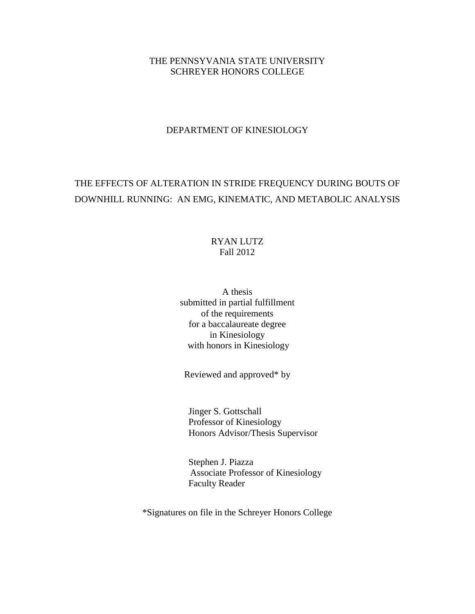## THE PENNSYVANIA STATE UNIVERSITY SCHREYER HONORS COLLEGE

## DEPARTMENT OF KINESIOLOGY

# THE EFFECTS OF ALTERATION IN STRIDE FREQUENCY DURING BOUTS OF DOWNHILL RUNNING: AN EMG, KINEMATIC, AND METABOLIC ANALYSIS

## RYAN LUTZ Fall 2012

A thesis submitted in partial fulfillment of the requirements for a baccalaureate degree in Kinesiology with honors in Kinesiology

Reviewed and approved\* by

 Jinger S. Gottschall Professor of Kinesiology Honors Advisor/Thesis Supervisor

 Stephen J. Piazza Associate Professor of Kinesiology Faculty Reader

\*Signatures on file in the Schreyer Honors College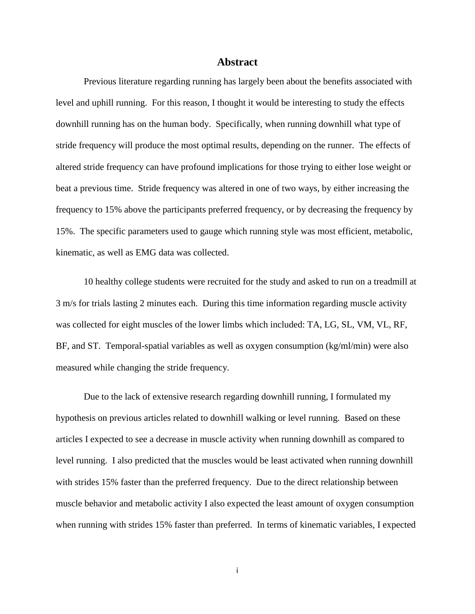## **Abstract**

Previous literature regarding running has largely been about the benefits associated with level and uphill running. For this reason, I thought it would be interesting to study the effects downhill running has on the human body. Specifically, when running downhill what type of stride frequency will produce the most optimal results, depending on the runner. The effects of altered stride frequency can have profound implications for those trying to either lose weight or beat a previous time. Stride frequency was altered in one of two ways, by either increasing the frequency to 15% above the participants preferred frequency, or by decreasing the frequency by 15%. The specific parameters used to gauge which running style was most efficient, metabolic, kinematic, as well as EMG data was collected.

10 healthy college students were recruited for the study and asked to run on a treadmill at 3 m/s for trials lasting 2 minutes each. During this time information regarding muscle activity was collected for eight muscles of the lower limbs which included: TA, LG, SL, VM, VL, RF, BF, and ST. Temporal-spatial variables as well as oxygen consumption (kg/ml/min) were also measured while changing the stride frequency.

Due to the lack of extensive research regarding downhill running, I formulated my hypothesis on previous articles related to downhill walking or level running. Based on these articles I expected to see a decrease in muscle activity when running downhill as compared to level running. I also predicted that the muscles would be least activated when running downhill with strides 15% faster than the preferred frequency. Due to the direct relationship between muscle behavior and metabolic activity I also expected the least amount of oxygen consumption when running with strides 15% faster than preferred. In terms of kinematic variables, I expected

i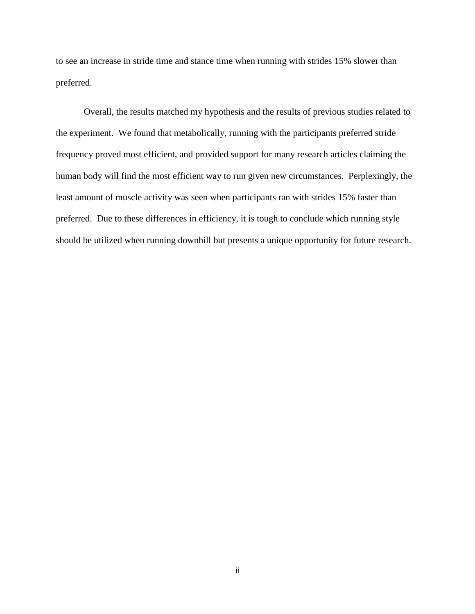to see an increase in stride time and stance time when running with strides 15% slower than preferred.

Overall, the results matched my hypothesis and the results of previous studies related to the experiment. We found that metabolically, running with the participants preferred stride frequency proved most efficient, and provided support for many research articles claiming the human body will find the most efficient way to run given new circumstances. Perplexingly, the least amount of muscle activity was seen when participants ran with strides 15% faster than preferred. Due to these differences in efficiency, it is tough to conclude which running style should be utilized when running downhill but presents a unique opportunity for future research.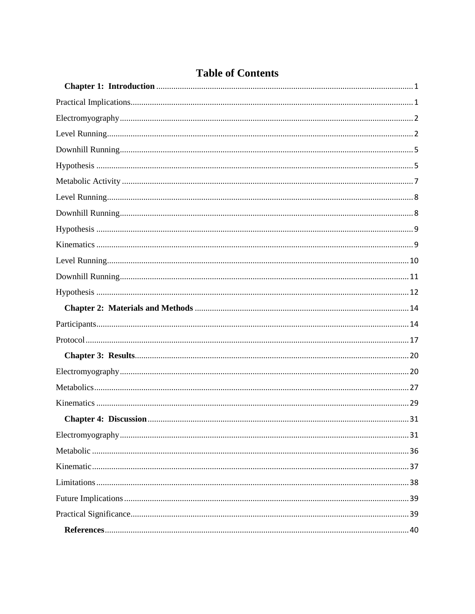<span id="page-3-0"></span>

# **Table of Contents**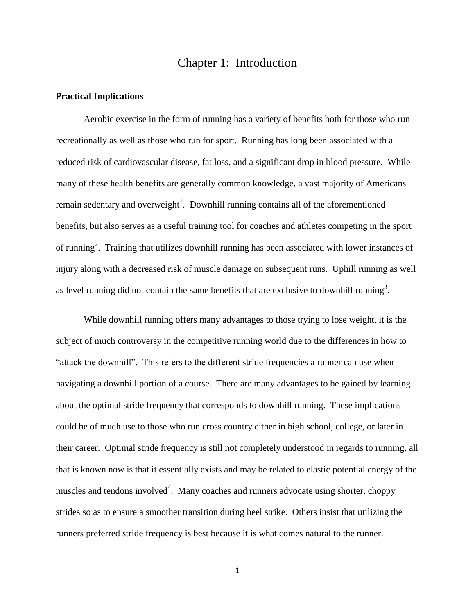# Chapter 1: Introduction

#### <span id="page-4-0"></span>**Practical Implications**

Aerobic exercise in the form of running has a variety of benefits both for those who run recreationally as well as those who run for sport. Running has long been associated with a reduced risk of cardiovascular disease, fat loss, and a significant drop in blood pressure. While many of these health benefits are generally common knowledge, a vast majority of Americans remain sedentary and overweight<sup>1</sup>. Downhill running contains all of the aforementioned benefits, but also serves as a useful training tool for coaches and athletes competing in the sport of running<sup>2</sup>. Training that utilizes downhill running has been associated with lower instances of injury along with a decreased risk of muscle damage on subsequent runs. Uphill running as well as level running did not contain the same benefits that are exclusive to downhill running<sup>3</sup>.

While downhill running offers many advantages to those trying to lose weight, it is the subject of much controversy in the competitive running world due to the differences in how to "attack the downhill". This refers to the different stride frequencies a runner can use when navigating a downhill portion of a course. There are many advantages to be gained by learning about the optimal stride frequency that corresponds to downhill running. These implications could be of much use to those who run cross country either in high school, college, or later in their career. Optimal stride frequency is still not completely understood in regards to running, all that is known now is that it essentially exists and may be related to elastic potential energy of the muscles and tendons involved<sup>4</sup>. Many coaches and runners advocate using shorter, choppy strides so as to ensure a smoother transition during heel strike. Others insist that utilizing the runners preferred stride frequency is best because it is what comes natural to the runner.

1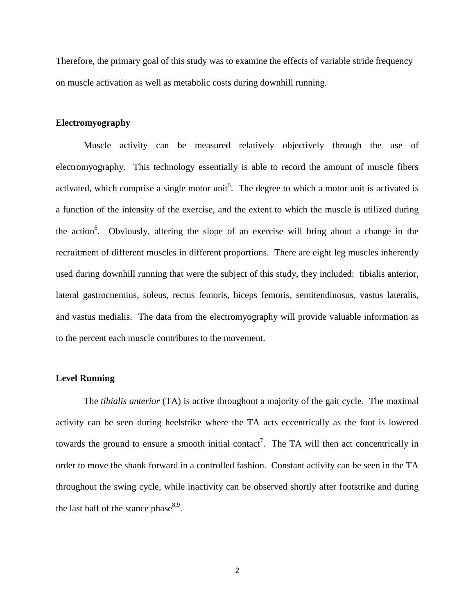Therefore, the primary goal of this study was to examine the effects of variable stride frequency on muscle activation as well as metabolic costs during downhill running.

#### <span id="page-5-0"></span>**Electromyography**

Muscle activity can be measured relatively objectively through the use of electromyography. This technology essentially is able to record the amount of muscle fibers activated, which comprise a single motor unit<sup>5</sup>. The degree to which a motor unit is activated is a function of the intensity of the exercise, and the extent to which the muscle is utilized during the action<sup>6</sup>. Obviously, altering the slope of an exercise will bring about a change in the recruitment of different muscles in different proportions. There are eight leg muscles inherently used during downhill running that were the subject of this study, they included: tibialis anterior, lateral gastrocnemius, soleus, rectus femoris, biceps femoris, semitendinosus, vastus lateralis, and vastus medialis. The data from the electromyography will provide valuable information as to the percent each muscle contributes to the movement.

#### <span id="page-5-1"></span>**Level Running**

The *tibialis anterior* (TA) is active throughout a majority of the gait cycle. The maximal activity can be seen during heelstrike where the TA acts eccentrically as the foot is lowered towards the ground to ensure a smooth initial contact<sup>7</sup>. The TA will then act concentrically in order to move the shank forward in a controlled fashion. Constant activity can be seen in the TA throughout the swing cycle, while inactivity can be observed shortly after footstrike and during the last half of the stance phase  $8.9$ .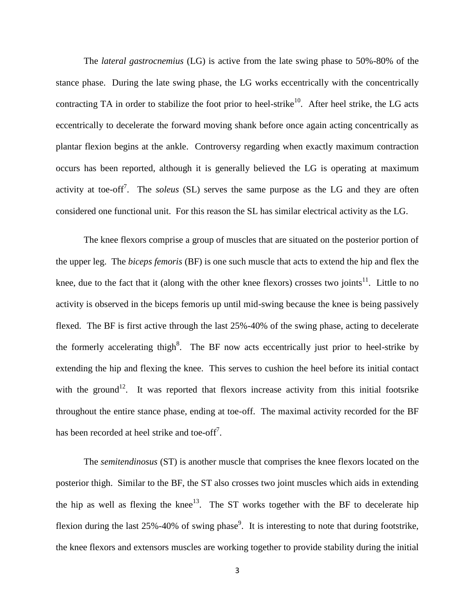The *lateral gastrocnemius* (LG) is active from the late swing phase to 50%-80% of the stance phase. During the late swing phase, the LG works eccentrically with the concentrically contracting TA in order to stabilize the foot prior to heel-strike<sup>10</sup>. After heel strike, the LG acts eccentrically to decelerate the forward moving shank before once again acting concentrically as plantar flexion begins at the ankle. Controversy regarding when exactly maximum contraction occurs has been reported, although it is generally believed the LG is operating at maximum activity at toe-off<sup>7</sup>. The *soleus* (SL) serves the same purpose as the LG and they are often considered one functional unit. For this reason the SL has similar electrical activity as the LG.

The knee flexors comprise a group of muscles that are situated on the posterior portion of the upper leg. The *biceps femoris* (BF) is one such muscle that acts to extend the hip and flex the knee, due to the fact that it (along with the other knee flexors) crosses two joints $11$ . Little to no activity is observed in the biceps femoris up until mid-swing because the knee is being passively flexed. The BF is first active through the last 25%-40% of the swing phase, acting to decelerate the formerly accelerating thigh<sup>8</sup>. The BF now acts eccentrically just prior to heel-strike by extending the hip and flexing the knee. This serves to cushion the heel before its initial contact with the ground<sup>12</sup>. It was reported that flexors increase activity from this initial footsrike throughout the entire stance phase, ending at toe-off. The maximal activity recorded for the BF has been recorded at heel strike and toe-off<sup>7</sup>.

The *semitendinosus* (ST) is another muscle that comprises the knee flexors located on the posterior thigh. Similar to the BF, the ST also crosses two joint muscles which aids in extending the hip as well as flexing the knee<sup>13</sup>. The ST works together with the BF to decelerate hip flexion during the last  $25\% - 40\%$  of swing phase<sup>9</sup>. It is interesting to note that during footstrike, the knee flexors and extensors muscles are working together to provide stability during the initial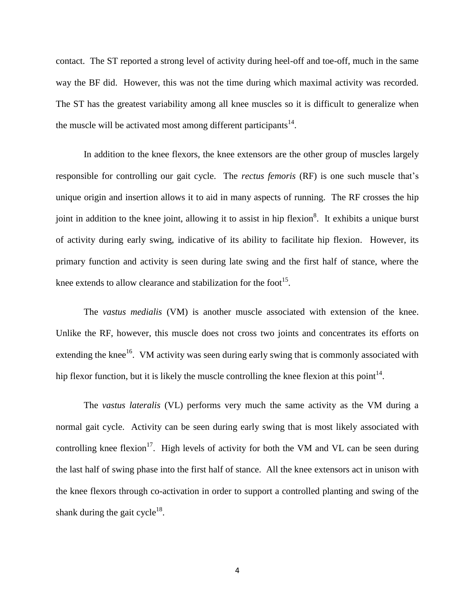contact. The ST reported a strong level of activity during heel-off and toe-off, much in the same way the BF did. However, this was not the time during which maximal activity was recorded. The ST has the greatest variability among all knee muscles so it is difficult to generalize when the muscle will be activated most among different participants $14$ .

In addition to the knee flexors, the knee extensors are the other group of muscles largely responsible for controlling our gait cycle. The *rectus femoris* (RF) is one such muscle that's unique origin and insertion allows it to aid in many aspects of running. The RF crosses the hip joint in addition to the knee joint, allowing it to assist in hip flexion<sup>8</sup>. It exhibits a unique burst of activity during early swing, indicative of its ability to facilitate hip flexion. However, its primary function and activity is seen during late swing and the first half of stance, where the knee extends to allow clearance and stabilization for the foot<sup>15</sup>.

The *vastus medialis* (VM) is another muscle associated with extension of the knee. Unlike the RF, however, this muscle does not cross two joints and concentrates its efforts on extending the knee<sup>16</sup>. VM activity was seen during early swing that is commonly associated with hip flexor function, but it is likely the muscle controlling the knee flexion at this point<sup>14</sup>.

The *vastus lateralis* (VL) performs very much the same activity as the VM during a normal gait cycle. Activity can be seen during early swing that is most likely associated with controlling knee flexion<sup>17</sup>. High levels of activity for both the VM and VL can be seen during the last half of swing phase into the first half of stance. All the knee extensors act in unison with the knee flexors through co-activation in order to support a controlled planting and swing of the shank during the gait cycle<sup>18</sup>.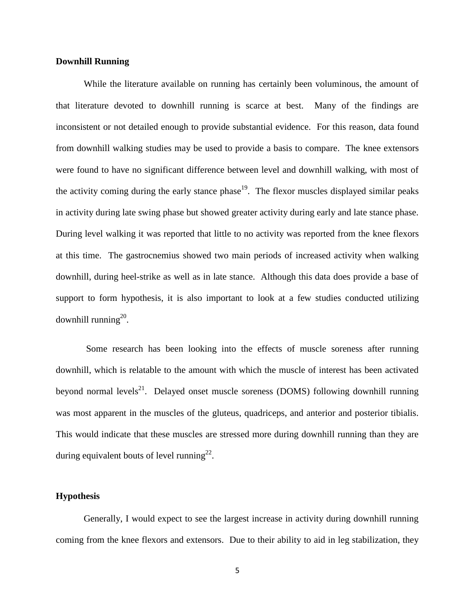## <span id="page-8-0"></span>**Downhill Running**

While the literature available on running has certainly been voluminous, the amount of that literature devoted to downhill running is scarce at best. Many of the findings are inconsistent or not detailed enough to provide substantial evidence. For this reason, data found from downhill walking studies may be used to provide a basis to compare. The knee extensors were found to have no significant difference between level and downhill walking, with most of the activity coming during the early stance phase<sup>19</sup>. The flexor muscles displayed similar peaks in activity during late swing phase but showed greater activity during early and late stance phase. During level walking it was reported that little to no activity was reported from the knee flexors at this time. The gastrocnemius showed two main periods of increased activity when walking downhill, during heel-strike as well as in late stance. Although this data does provide a base of support to form hypothesis, it is also important to look at a few studies conducted utilizing downhill running $^{20}$ .

Some research has been looking into the effects of muscle soreness after running downhill, which is relatable to the amount with which the muscle of interest has been activated beyond normal levels<sup>21</sup>. Delayed onset muscle soreness (DOMS) following downhill running was most apparent in the muscles of the gluteus, quadriceps, and anterior and posterior tibialis. This would indicate that these muscles are stressed more during downhill running than they are during equivalent bouts of level running<sup>22</sup>.

## <span id="page-8-1"></span>**Hypothesis**

Generally, I would expect to see the largest increase in activity during downhill running coming from the knee flexors and extensors. Due to their ability to aid in leg stabilization, they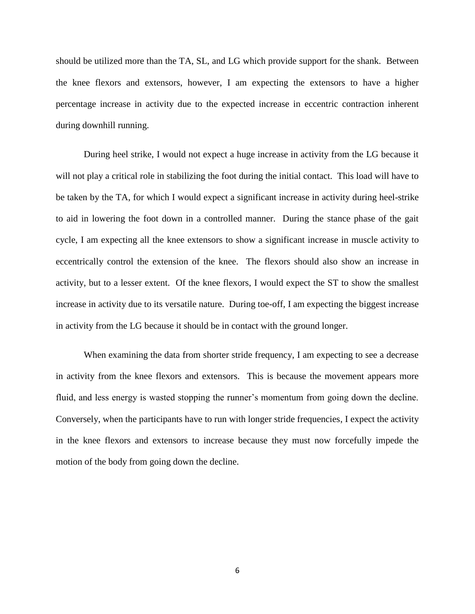should be utilized more than the TA, SL, and LG which provide support for the shank. Between the knee flexors and extensors, however, I am expecting the extensors to have a higher percentage increase in activity due to the expected increase in eccentric contraction inherent during downhill running.

During heel strike, I would not expect a huge increase in activity from the LG because it will not play a critical role in stabilizing the foot during the initial contact. This load will have to be taken by the TA, for which I would expect a significant increase in activity during heel-strike to aid in lowering the foot down in a controlled manner. During the stance phase of the gait cycle, I am expecting all the knee extensors to show a significant increase in muscle activity to eccentrically control the extension of the knee. The flexors should also show an increase in activity, but to a lesser extent. Of the knee flexors, I would expect the ST to show the smallest increase in activity due to its versatile nature. During toe-off, I am expecting the biggest increase in activity from the LG because it should be in contact with the ground longer.

When examining the data from shorter stride frequency, I am expecting to see a decrease in activity from the knee flexors and extensors. This is because the movement appears more fluid, and less energy is wasted stopping the runner's momentum from going down the decline. Conversely, when the participants have to run with longer stride frequencies, I expect the activity in the knee flexors and extensors to increase because they must now forcefully impede the motion of the body from going down the decline.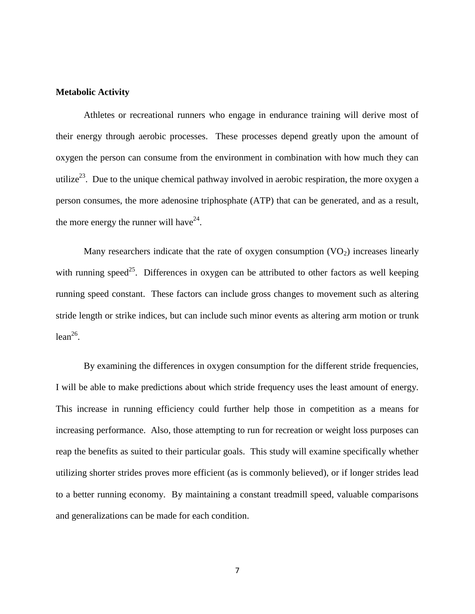#### <span id="page-10-0"></span>**Metabolic Activity**

Athletes or recreational runners who engage in endurance training will derive most of their energy through aerobic processes. These processes depend greatly upon the amount of oxygen the person can consume from the environment in combination with how much they can utilize<sup>23</sup>. Due to the unique chemical pathway involved in aerobic respiration, the more oxygen a person consumes, the more adenosine triphosphate (ATP) that can be generated, and as a result, the more energy the runner will have<sup>24</sup>.

Many researchers indicate that the rate of oxygen consumption  $(VO<sub>2</sub>)$  increases linearly with running speed<sup>25</sup>. Differences in oxygen can be attributed to other factors as well keeping running speed constant. These factors can include gross changes to movement such as altering stride length or strike indices, but can include such minor events as altering arm motion or trunk  $lean^{26}$ .

By examining the differences in oxygen consumption for the different stride frequencies, I will be able to make predictions about which stride frequency uses the least amount of energy. This increase in running efficiency could further help those in competition as a means for increasing performance. Also, those attempting to run for recreation or weight loss purposes can reap the benefits as suited to their particular goals. This study will examine specifically whether utilizing shorter strides proves more efficient (as is commonly believed), or if longer strides lead to a better running economy. By maintaining a constant treadmill speed, valuable comparisons and generalizations can be made for each condition.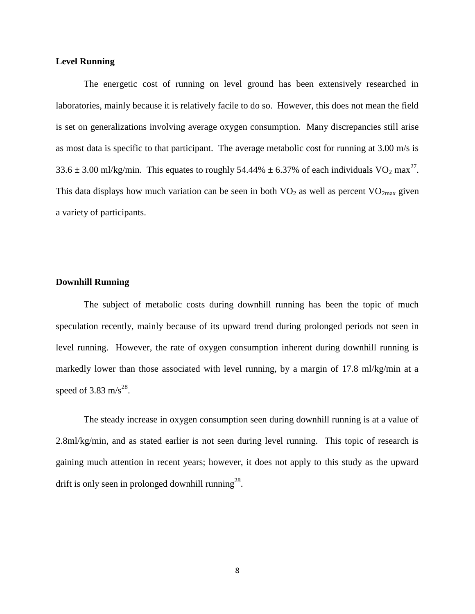## <span id="page-11-0"></span>**Level Running**

The energetic cost of running on level ground has been extensively researched in laboratories, mainly because it is relatively facile to do so. However, this does not mean the field is set on generalizations involving average oxygen consumption. Many discrepancies still arise as most data is specific to that participant. The average metabolic cost for running at 3.00 m/s is 33.6  $\pm$  3.00 ml/kg/min. This equates to roughly 54.44%  $\pm$  6.37% of each individuals VO<sub>2</sub> max<sup>27</sup>. This data displays how much variation can be seen in both  $VO<sub>2</sub>$  as well as percent  $VO<sub>2max</sub>$  given a variety of participants.

## <span id="page-11-1"></span>**Downhill Running**

The subject of metabolic costs during downhill running has been the topic of much speculation recently, mainly because of its upward trend during prolonged periods not seen in level running. However, the rate of oxygen consumption inherent during downhill running is markedly lower than those associated with level running, by a margin of 17.8 ml/kg/min at a speed of 3.83 m/s<sup>28</sup>.

The steady increase in oxygen consumption seen during downhill running is at a value of 2.8ml/kg/min, and as stated earlier is not seen during level running. This topic of research is gaining much attention in recent years; however, it does not apply to this study as the upward drift is only seen in prolonged downhill running<sup>28</sup>.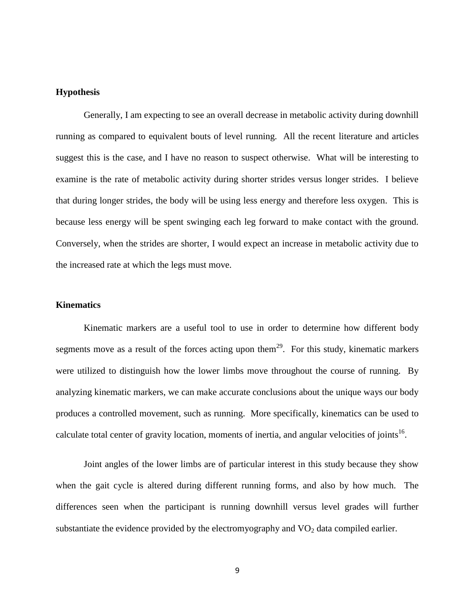## <span id="page-12-0"></span>**Hypothesis**

Generally, I am expecting to see an overall decrease in metabolic activity during downhill running as compared to equivalent bouts of level running. All the recent literature and articles suggest this is the case, and I have no reason to suspect otherwise. What will be interesting to examine is the rate of metabolic activity during shorter strides versus longer strides. I believe that during longer strides, the body will be using less energy and therefore less oxygen. This is because less energy will be spent swinging each leg forward to make contact with the ground. Conversely, when the strides are shorter, I would expect an increase in metabolic activity due to the increased rate at which the legs must move.

## <span id="page-12-1"></span>**Kinematics**

Kinematic markers are a useful tool to use in order to determine how different body segments move as a result of the forces acting upon them<sup>29</sup>. For this study, kinematic markers were utilized to distinguish how the lower limbs move throughout the course of running. By analyzing kinematic markers, we can make accurate conclusions about the unique ways our body produces a controlled movement, such as running. More specifically, kinematics can be used to calculate total center of gravity location, moments of inertia, and angular velocities of joints<sup>16</sup>.

Joint angles of the lower limbs are of particular interest in this study because they show when the gait cycle is altered during different running forms, and also by how much. The differences seen when the participant is running downhill versus level grades will further substantiate the evidence provided by the electromyography and  $VO<sub>2</sub>$  data compiled earlier.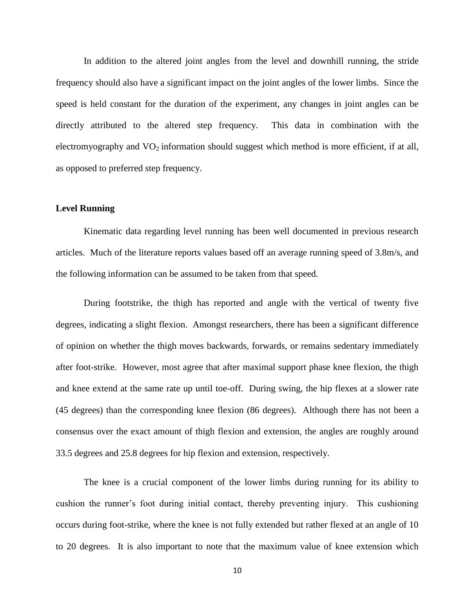In addition to the altered joint angles from the level and downhill running, the stride frequency should also have a significant impact on the joint angles of the lower limbs. Since the speed is held constant for the duration of the experiment, any changes in joint angles can be directly attributed to the altered step frequency. This data in combination with the electromyography and  $VO<sub>2</sub>$  information should suggest which method is more efficient, if at all, as opposed to preferred step frequency.

## <span id="page-13-0"></span>**Level Running**

Kinematic data regarding level running has been well documented in previous research articles. Much of the literature reports values based off an average running speed of 3.8m/s, and the following information can be assumed to be taken from that speed.

During footstrike, the thigh has reported and angle with the vertical of twenty five degrees, indicating a slight flexion. Amongst researchers, there has been a significant difference of opinion on whether the thigh moves backwards, forwards, or remains sedentary immediately after foot-strike. However, most agree that after maximal support phase knee flexion, the thigh and knee extend at the same rate up until toe-off. During swing, the hip flexes at a slower rate (45 degrees) than the corresponding knee flexion (86 degrees). Although there has not been a consensus over the exact amount of thigh flexion and extension, the angles are roughly around 33.5 degrees and 25.8 degrees for hip flexion and extension, respectively.

The knee is a crucial component of the lower limbs during running for its ability to cushion the runner's foot during initial contact, thereby preventing injury. This cushioning occurs during foot-strike, where the knee is not fully extended but rather flexed at an angle of 10 to 20 degrees. It is also important to note that the maximum value of knee extension which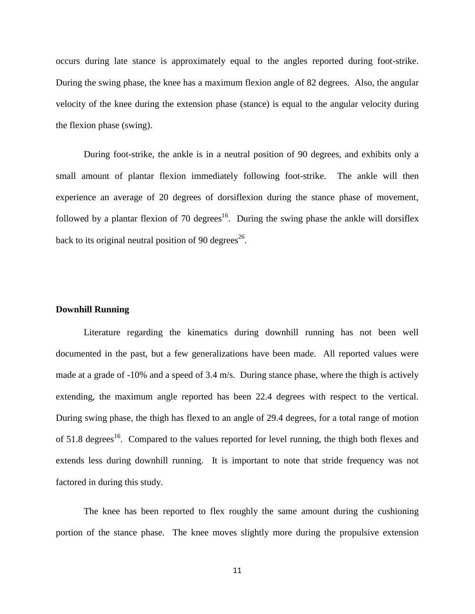occurs during late stance is approximately equal to the angles reported during foot-strike. During the swing phase, the knee has a maximum flexion angle of 82 degrees. Also, the angular velocity of the knee during the extension phase (stance) is equal to the angular velocity during the flexion phase (swing).

During foot-strike, the ankle is in a neutral position of 90 degrees, and exhibits only a small amount of plantar flexion immediately following foot-strike. The ankle will then experience an average of 20 degrees of dorsiflexion during the stance phase of movement, followed by a plantar flexion of 70 degrees<sup>16</sup>. During the swing phase the ankle will dorsiflex back to its original neutral position of 90 degrees<sup>26</sup>.

#### <span id="page-14-0"></span>**Downhill Running**

Literature regarding the kinematics during downhill running has not been well documented in the past, but a few generalizations have been made. All reported values were made at a grade of -10% and a speed of 3.4 m/s. During stance phase, where the thigh is actively extending, the maximum angle reported has been 22.4 degrees with respect to the vertical. During swing phase, the thigh has flexed to an angle of 29.4 degrees, for a total range of motion of  $51.8$  degrees<sup>16</sup>. Compared to the values reported for level running, the thigh both flexes and extends less during downhill running. It is important to note that stride frequency was not factored in during this study.

The knee has been reported to flex roughly the same amount during the cushioning portion of the stance phase. The knee moves slightly more during the propulsive extension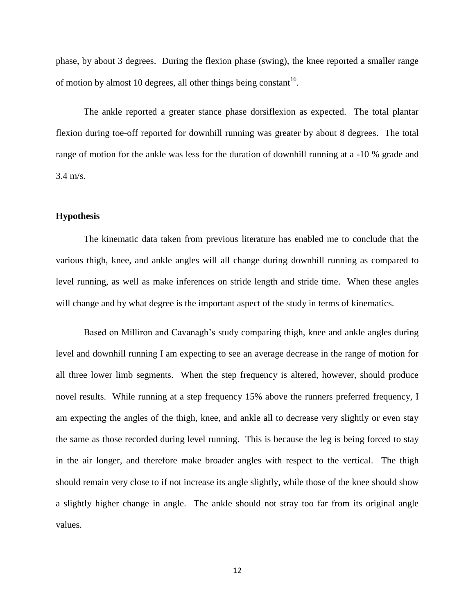phase, by about 3 degrees. During the flexion phase (swing), the knee reported a smaller range of motion by almost 10 degrees, all other things being constant<sup>16</sup>.

The ankle reported a greater stance phase dorsiflexion as expected. The total plantar flexion during toe-off reported for downhill running was greater by about 8 degrees. The total range of motion for the ankle was less for the duration of downhill running at a -10 % grade and 3.4 m/s.

### <span id="page-15-0"></span>**Hypothesis**

The kinematic data taken from previous literature has enabled me to conclude that the various thigh, knee, and ankle angles will all change during downhill running as compared to level running, as well as make inferences on stride length and stride time. When these angles will change and by what degree is the important aspect of the study in terms of kinematics.

Based on Milliron and Cavanagh's study comparing thigh, knee and ankle angles during level and downhill running I am expecting to see an average decrease in the range of motion for all three lower limb segments. When the step frequency is altered, however, should produce novel results. While running at a step frequency 15% above the runners preferred frequency, I am expecting the angles of the thigh, knee, and ankle all to decrease very slightly or even stay the same as those recorded during level running. This is because the leg is being forced to stay in the air longer, and therefore make broader angles with respect to the vertical. The thigh should remain very close to if not increase its angle slightly, while those of the knee should show a slightly higher change in angle. The ankle should not stray too far from its original angle values.

12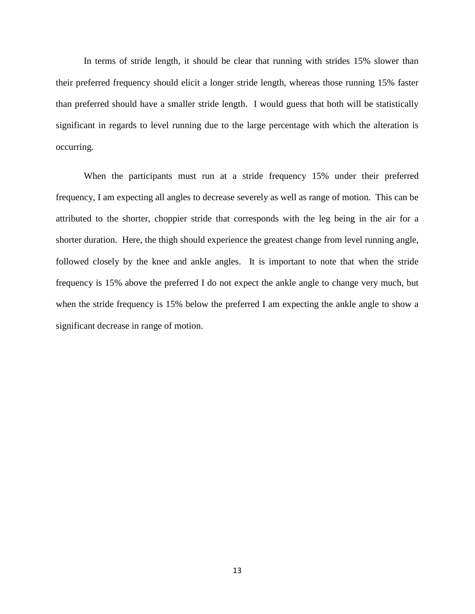In terms of stride length, it should be clear that running with strides 15% slower than their preferred frequency should elicit a longer stride length, whereas those running 15% faster than preferred should have a smaller stride length. I would guess that both will be statistically significant in regards to level running due to the large percentage with which the alteration is occurring.

When the participants must run at a stride frequency 15% under their preferred frequency, I am expecting all angles to decrease severely as well as range of motion. This can be attributed to the shorter, choppier stride that corresponds with the leg being in the air for a shorter duration. Here, the thigh should experience the greatest change from level running angle, followed closely by the knee and ankle angles. It is important to note that when the stride frequency is 15% above the preferred I do not expect the ankle angle to change very much, but when the stride frequency is 15% below the preferred I am expecting the ankle angle to show a significant decrease in range of motion.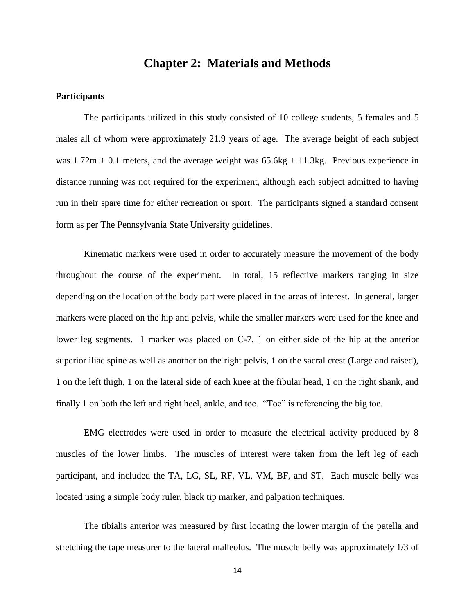# **Chapter 2: Materials and Methods**

## <span id="page-17-1"></span><span id="page-17-0"></span>**Participants**

The participants utilized in this study consisted of 10 college students, 5 females and 5 males all of whom were approximately 21.9 years of age. The average height of each subject was  $1.72m \pm 0.1$  meters, and the average weight was  $65.6kg \pm 11.3kg$ . Previous experience in distance running was not required for the experiment, although each subject admitted to having run in their spare time for either recreation or sport. The participants signed a standard consent form as per The Pennsylvania State University guidelines.

Kinematic markers were used in order to accurately measure the movement of the body throughout the course of the experiment. In total, 15 reflective markers ranging in size depending on the location of the body part were placed in the areas of interest. In general, larger markers were placed on the hip and pelvis, while the smaller markers were used for the knee and lower leg segments. 1 marker was placed on C-7, 1 on either side of the hip at the anterior superior iliac spine as well as another on the right pelvis, 1 on the sacral crest (Large and raised), 1 on the left thigh, 1 on the lateral side of each knee at the fibular head, 1 on the right shank, and finally 1 on both the left and right heel, ankle, and toe. "Toe" is referencing the big toe.

EMG electrodes were used in order to measure the electrical activity produced by 8 muscles of the lower limbs. The muscles of interest were taken from the left leg of each participant, and included the TA, LG, SL, RF, VL, VM, BF, and ST. Each muscle belly was located using a simple body ruler, black tip marker, and palpation techniques.

The tibialis anterior was measured by first locating the lower margin of the patella and stretching the tape measurer to the lateral malleolus. The muscle belly was approximately 1/3 of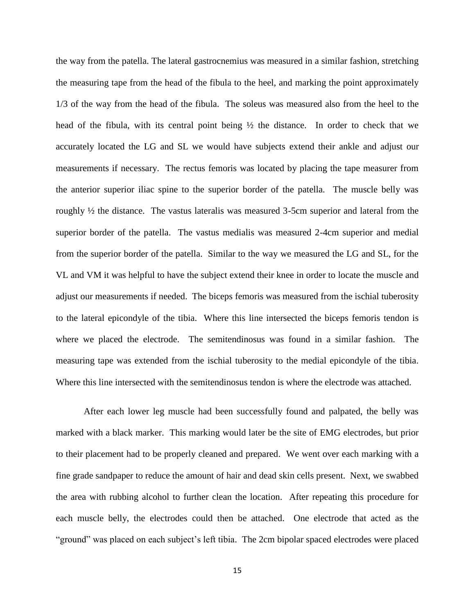the way from the patella. The lateral gastrocnemius was measured in a similar fashion, stretching the measuring tape from the head of the fibula to the heel, and marking the point approximately 1/3 of the way from the head of the fibula. The soleus was measured also from the heel to the head of the fibula, with its central point being  $\frac{1}{2}$  the distance. In order to check that we accurately located the LG and SL we would have subjects extend their ankle and adjust our measurements if necessary. The rectus femoris was located by placing the tape measurer from the anterior superior iliac spine to the superior border of the patella. The muscle belly was roughly ½ the distance. The vastus lateralis was measured 3-5cm superior and lateral from the superior border of the patella. The vastus medialis was measured 2-4cm superior and medial from the superior border of the patella. Similar to the way we measured the LG and SL, for the VL and VM it was helpful to have the subject extend their knee in order to locate the muscle and adjust our measurements if needed. The biceps femoris was measured from the ischial tuberosity to the lateral epicondyle of the tibia. Where this line intersected the biceps femoris tendon is where we placed the electrode. The semitendinosus was found in a similar fashion. The measuring tape was extended from the ischial tuberosity to the medial epicondyle of the tibia. Where this line intersected with the semitendinosus tendon is where the electrode was attached.

After each lower leg muscle had been successfully found and palpated, the belly was marked with a black marker. This marking would later be the site of EMG electrodes, but prior to their placement had to be properly cleaned and prepared. We went over each marking with a fine grade sandpaper to reduce the amount of hair and dead skin cells present. Next, we swabbed the area with rubbing alcohol to further clean the location. After repeating this procedure for each muscle belly, the electrodes could then be attached. One electrode that acted as the "ground" was placed on each subject's left tibia. The 2cm bipolar spaced electrodes were placed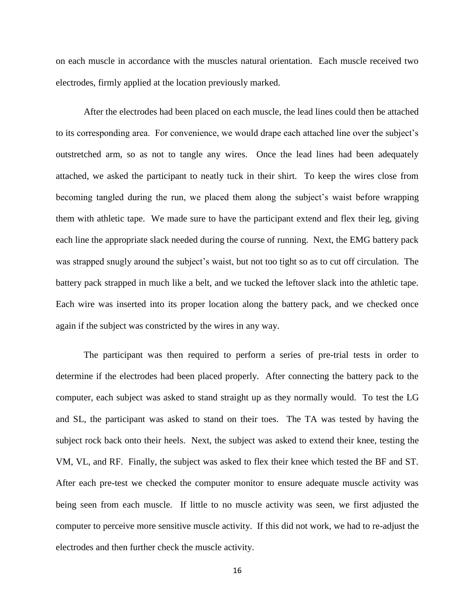on each muscle in accordance with the muscles natural orientation. Each muscle received two electrodes, firmly applied at the location previously marked.

After the electrodes had been placed on each muscle, the lead lines could then be attached to its corresponding area. For convenience, we would drape each attached line over the subject's outstretched arm, so as not to tangle any wires. Once the lead lines had been adequately attached, we asked the participant to neatly tuck in their shirt. To keep the wires close from becoming tangled during the run, we placed them along the subject's waist before wrapping them with athletic tape. We made sure to have the participant extend and flex their leg, giving each line the appropriate slack needed during the course of running. Next, the EMG battery pack was strapped snugly around the subject's waist, but not too tight so as to cut off circulation. The battery pack strapped in much like a belt, and we tucked the leftover slack into the athletic tape. Each wire was inserted into its proper location along the battery pack, and we checked once again if the subject was constricted by the wires in any way.

The participant was then required to perform a series of pre-trial tests in order to determine if the electrodes had been placed properly. After connecting the battery pack to the computer, each subject was asked to stand straight up as they normally would. To test the LG and SL, the participant was asked to stand on their toes. The TA was tested by having the subject rock back onto their heels. Next, the subject was asked to extend their knee, testing the VM, VL, and RF. Finally, the subject was asked to flex their knee which tested the BF and ST. After each pre-test we checked the computer monitor to ensure adequate muscle activity was being seen from each muscle. If little to no muscle activity was seen, we first adjusted the computer to perceive more sensitive muscle activity. If this did not work, we had to re-adjust the electrodes and then further check the muscle activity.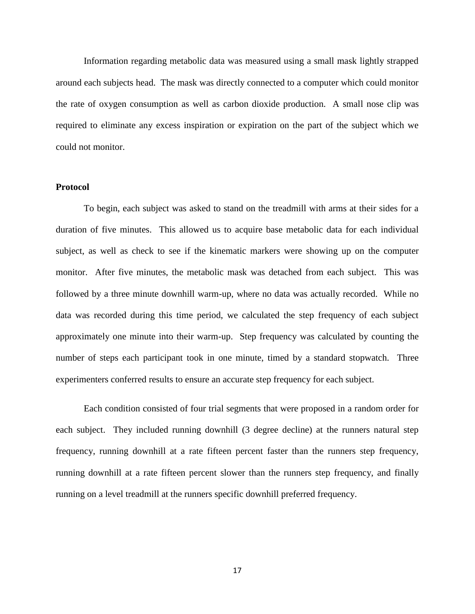Information regarding metabolic data was measured using a small mask lightly strapped around each subjects head. The mask was directly connected to a computer which could monitor the rate of oxygen consumption as well as carbon dioxide production. A small nose clip was required to eliminate any excess inspiration or expiration on the part of the subject which we could not monitor.

## <span id="page-20-0"></span>**Protocol**

To begin, each subject was asked to stand on the treadmill with arms at their sides for a duration of five minutes. This allowed us to acquire base metabolic data for each individual subject, as well as check to see if the kinematic markers were showing up on the computer monitor. After five minutes, the metabolic mask was detached from each subject. This was followed by a three minute downhill warm-up, where no data was actually recorded. While no data was recorded during this time period, we calculated the step frequency of each subject approximately one minute into their warm-up. Step frequency was calculated by counting the number of steps each participant took in one minute, timed by a standard stopwatch. Three experimenters conferred results to ensure an accurate step frequency for each subject.

Each condition consisted of four trial segments that were proposed in a random order for each subject. They included running downhill (3 degree decline) at the runners natural step frequency, running downhill at a rate fifteen percent faster than the runners step frequency, running downhill at a rate fifteen percent slower than the runners step frequency, and finally running on a level treadmill at the runners specific downhill preferred frequency.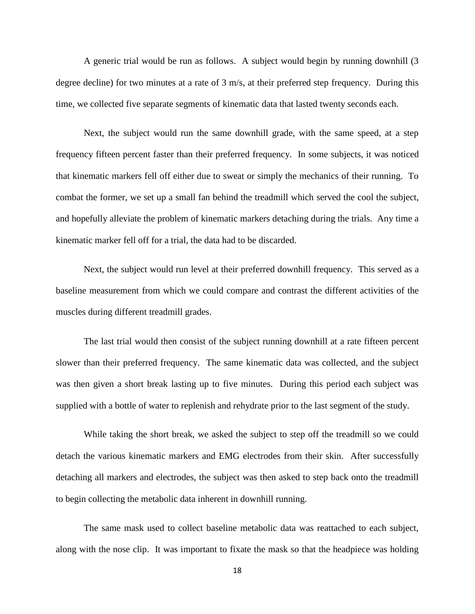A generic trial would be run as follows. A subject would begin by running downhill (3 degree decline) for two minutes at a rate of 3 m/s, at their preferred step frequency. During this time, we collected five separate segments of kinematic data that lasted twenty seconds each.

Next, the subject would run the same downhill grade, with the same speed, at a step frequency fifteen percent faster than their preferred frequency. In some subjects, it was noticed that kinematic markers fell off either due to sweat or simply the mechanics of their running. To combat the former, we set up a small fan behind the treadmill which served the cool the subject, and hopefully alleviate the problem of kinematic markers detaching during the trials. Any time a kinematic marker fell off for a trial, the data had to be discarded.

Next, the subject would run level at their preferred downhill frequency. This served as a baseline measurement from which we could compare and contrast the different activities of the muscles during different treadmill grades.

The last trial would then consist of the subject running downhill at a rate fifteen percent slower than their preferred frequency. The same kinematic data was collected, and the subject was then given a short break lasting up to five minutes. During this period each subject was supplied with a bottle of water to replenish and rehydrate prior to the last segment of the study.

While taking the short break, we asked the subject to step off the treadmill so we could detach the various kinematic markers and EMG electrodes from their skin. After successfully detaching all markers and electrodes, the subject was then asked to step back onto the treadmill to begin collecting the metabolic data inherent in downhill running.

The same mask used to collect baseline metabolic data was reattached to each subject, along with the nose clip. It was important to fixate the mask so that the headpiece was holding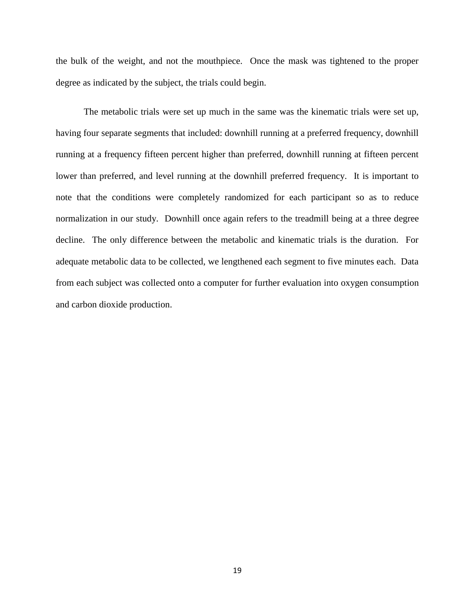the bulk of the weight, and not the mouthpiece. Once the mask was tightened to the proper degree as indicated by the subject, the trials could begin.

The metabolic trials were set up much in the same was the kinematic trials were set up, having four separate segments that included: downhill running at a preferred frequency, downhill running at a frequency fifteen percent higher than preferred, downhill running at fifteen percent lower than preferred, and level running at the downhill preferred frequency. It is important to note that the conditions were completely randomized for each participant so as to reduce normalization in our study. Downhill once again refers to the treadmill being at a three degree decline. The only difference between the metabolic and kinematic trials is the duration. For adequate metabolic data to be collected, we lengthened each segment to five minutes each. Data from each subject was collected onto a computer for further evaluation into oxygen consumption and carbon dioxide production.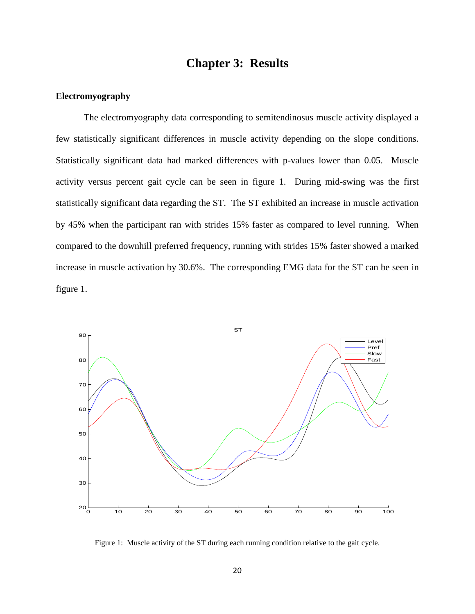# **Chapter 3: Results**

#### <span id="page-23-1"></span><span id="page-23-0"></span>**Electromyography**

The electromyography data corresponding to semitendinosus muscle activity displayed a few statistically significant differences in muscle activity depending on the slope conditions. Statistically significant data had marked differences with p-values lower than 0.05. Muscle activity versus percent gait cycle can be seen in figure 1. During mid-swing was the first statistically significant data regarding the ST. The ST exhibited an increase in muscle activation by 45% when the participant ran with strides 15% faster as compared to level running. When compared to the downhill preferred frequency, running with strides 15% faster showed a marked increase in muscle activation by 30.6%. The corresponding EMG data for the ST can be seen in figure 1.



Figure 1: Muscle activity of the ST during each running condition relative to the gait cycle.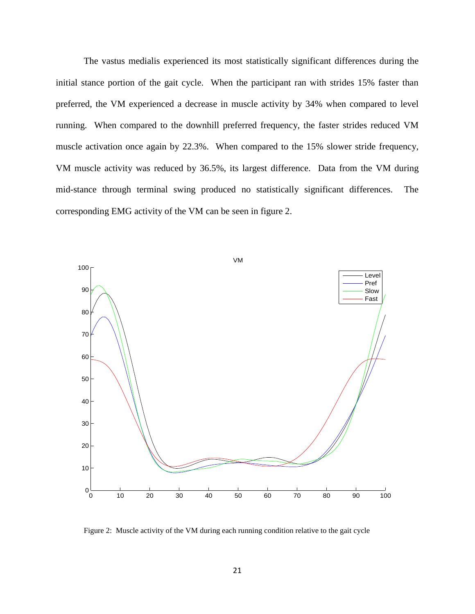The vastus medialis experienced its most statistically significant differences during the initial stance portion of the gait cycle. When the participant ran with strides 15% faster than preferred, the VM experienced a decrease in muscle activity by 34% when compared to level running. When compared to the downhill preferred frequency, the faster strides reduced VM muscle activation once again by 22.3%. When compared to the 15% slower stride frequency, VM muscle activity was reduced by 36.5%, its largest difference. Data from the VM during mid-stance through terminal swing produced no statistically significant differences. The corresponding EMG activity of the VM can be seen in figure 2.



Figure 2: Muscle activity of the VM during each running condition relative to the gait cycle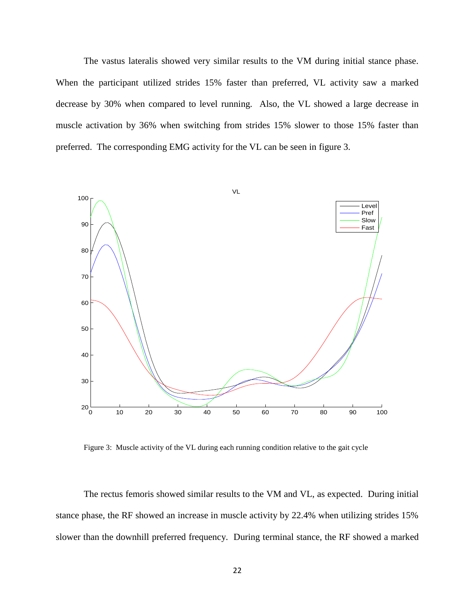The vastus lateralis showed very similar results to the VM during initial stance phase. When the participant utilized strides 15% faster than preferred, VL activity saw a marked decrease by 30% when compared to level running. Also, the VL showed a large decrease in muscle activation by 36% when switching from strides 15% slower to those 15% faster than preferred. The corresponding EMG activity for the VL can be seen in figure 3.



Figure 3: Muscle activity of the VL during each running condition relative to the gait cycle

The rectus femoris showed similar results to the VM and VL, as expected. During initial stance phase, the RF showed an increase in muscle activity by 22.4% when utilizing strides 15% slower than the downhill preferred frequency. During terminal stance, the RF showed a marked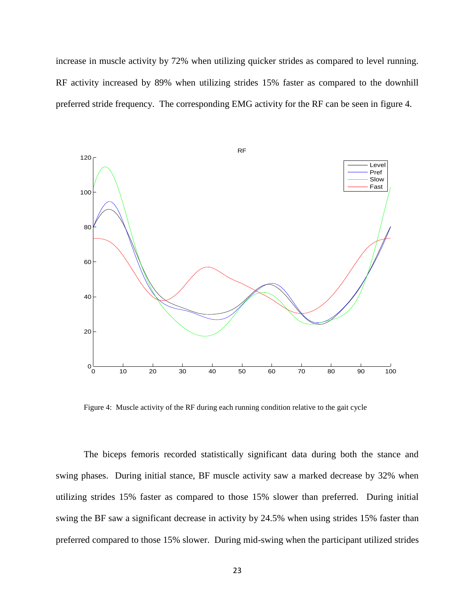increase in muscle activity by 72% when utilizing quicker strides as compared to level running. RF activity increased by 89% when utilizing strides 15% faster as compared to the downhill preferred stride frequency. The corresponding EMG activity for the RF can be seen in figure 4.



Figure 4: Muscle activity of the RF during each running condition relative to the gait cycle

The biceps femoris recorded statistically significant data during both the stance and swing phases. During initial stance, BF muscle activity saw a marked decrease by 32% when utilizing strides 15% faster as compared to those 15% slower than preferred. During initial swing the BF saw a significant decrease in activity by 24.5% when using strides 15% faster than preferred compared to those 15% slower. During mid-swing when the participant utilized strides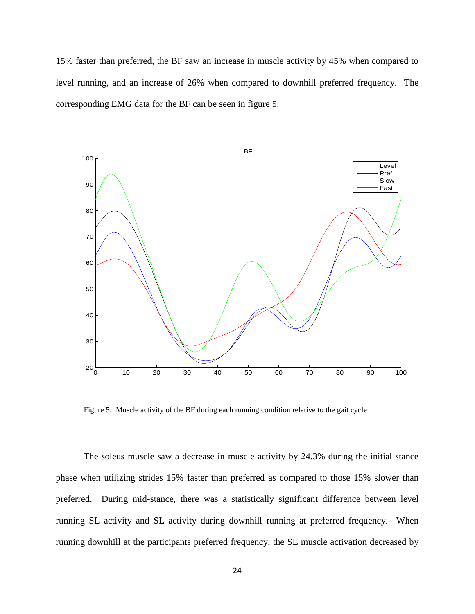15% faster than preferred, the BF saw an increase in muscle activity by 45% when compared to level running, and an increase of 26% when compared to downhill preferred frequency. The corresponding EMG data for the BF can be seen in figure 5.



Figure 5: Muscle activity of the BF during each running condition relative to the gait cycle

The soleus muscle saw a decrease in muscle activity by 24.3% during the initial stance phase when utilizing strides 15% faster than preferred as compared to those 15% slower than preferred. During mid-stance, there was a statistically significant difference between level running SL activity and SL activity during downhill running at preferred frequency. When running downhill at the participants preferred frequency, the SL muscle activation decreased by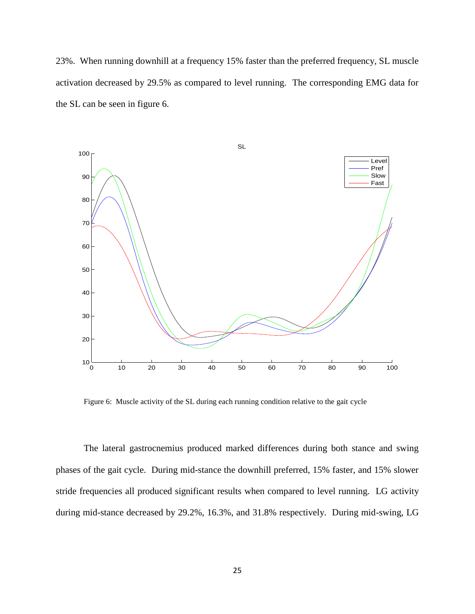23%. When running downhill at a frequency 15% faster than the preferred frequency, SL muscle activation decreased by 29.5% as compared to level running. The corresponding EMG data for the SL can be seen in figure 6.



Figure 6: Muscle activity of the SL during each running condition relative to the gait cycle

The lateral gastrocnemius produced marked differences during both stance and swing phases of the gait cycle. During mid-stance the downhill preferred, 15% faster, and 15% slower stride frequencies all produced significant results when compared to level running. LG activity during mid-stance decreased by 29.2%, 16.3%, and 31.8% respectively. During mid-swing, LG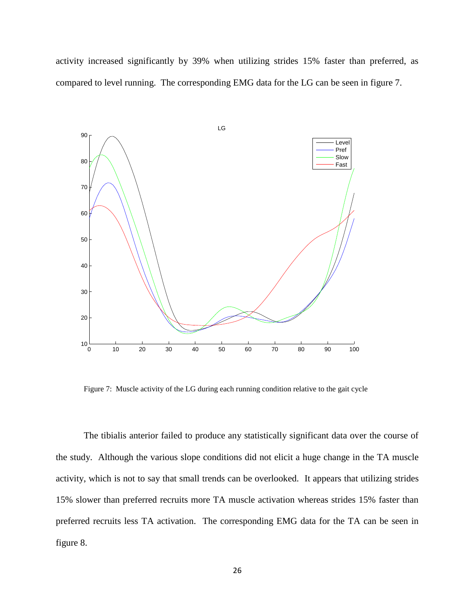activity increased significantly by 39% when utilizing strides 15% faster than preferred, as compared to level running. The corresponding EMG data for the LG can be seen in figure 7.



Figure 7: Muscle activity of the LG during each running condition relative to the gait cycle

The tibialis anterior failed to produce any statistically significant data over the course of the study. Although the various slope conditions did not elicit a huge change in the TA muscle activity, which is not to say that small trends can be overlooked. It appears that utilizing strides 15% slower than preferred recruits more TA muscle activation whereas strides 15% faster than preferred recruits less TA activation. The corresponding EMG data for the TA can be seen in figure 8.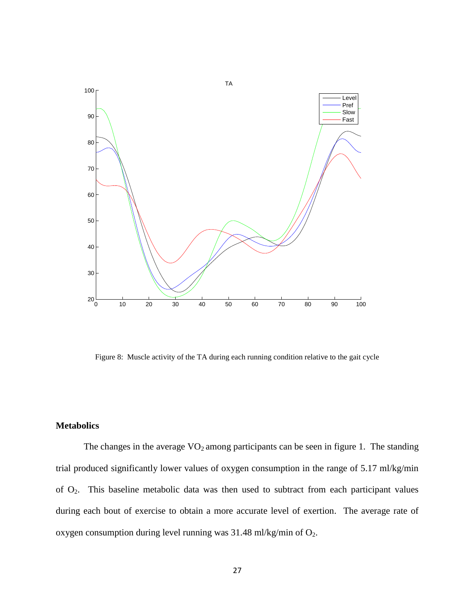

<span id="page-30-0"></span>Figure 8: Muscle activity of the TA during each running condition relative to the gait cycle

## **Metabolics**

The changes in the average  $VO<sub>2</sub>$  among participants can be seen in figure 1. The standing trial produced significantly lower values of oxygen consumption in the range of 5.17 ml/kg/min of O2. This baseline metabolic data was then used to subtract from each participant values during each bout of exercise to obtain a more accurate level of exertion. The average rate of oxygen consumption during level running was  $31.48$  ml/kg/min of  $O_2$ .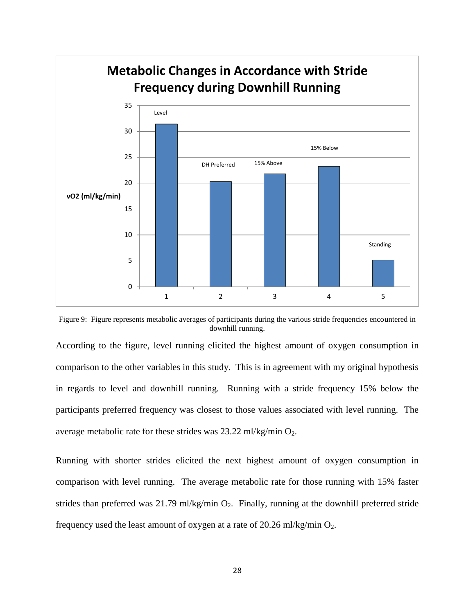

Figure 9: Figure represents metabolic averages of participants during the various stride frequencies encountered in downhill running.

According to the figure, level running elicited the highest amount of oxygen consumption in comparison to the other variables in this study. This is in agreement with my original hypothesis in regards to level and downhill running. Running with a stride frequency 15% below the participants preferred frequency was closest to those values associated with level running. The average metabolic rate for these strides was  $23.22$  ml/kg/min  $O_2$ .

Running with shorter strides elicited the next highest amount of oxygen consumption in comparison with level running. The average metabolic rate for those running with 15% faster strides than preferred was  $21.79$  ml/kg/min  $O_2$ . Finally, running at the downhill preferred stride frequency used the least amount of oxygen at a rate of 20.26 ml/kg/min  $O_2$ .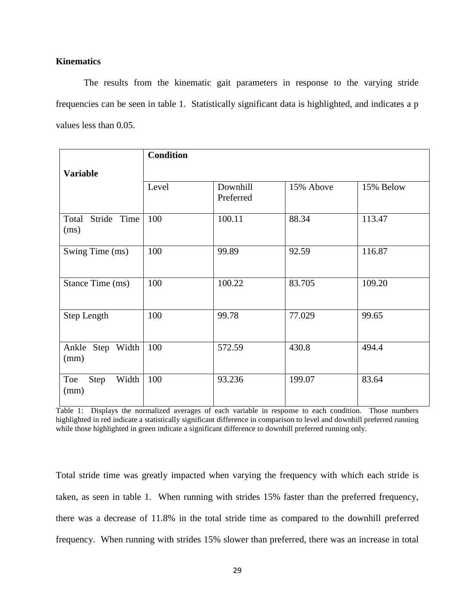## <span id="page-32-0"></span>**Kinematics**

The results from the kinematic gait parameters in response to the varying stride frequencies can be seen in table 1. Statistically significant data is highlighted, and indicates a p values less than 0.05.

|                              | <b>Condition</b> |                       |           |           |
|------------------------------|------------------|-----------------------|-----------|-----------|
| <b>Variable</b>              |                  |                       |           |           |
|                              | Level            | Downhill<br>Preferred | 15% Above | 15% Below |
| Stride Time<br>Total<br>(ms) | 100              | 100.11                | 88.34     | 113.47    |
| Swing Time (ms)              | 100              | 99.89                 | 92.59     | 116.87    |
| Stance Time (ms)             | 100              | 100.22                | 83.705    | 109.20    |
| Step Length                  | 100              | 99.78                 | 77.029    | 99.65     |
| Ankle Step Width<br>(mm)     | 100              | 572.59                | 430.8     | 494.4     |
| Toe<br>Width<br>Step<br>(mm) | 100              | 93.236                | 199.07    | 83.64     |

Table 1: Displays the normalized averages of each variable in response to each condition. Those numbers highlighted in red indicate a statistically significant difference in comparison to level and downhill preferred running while those highlighted in green indicate a significant difference to downhill preferred running only.

Total stride time was greatly impacted when varying the frequency with which each stride is taken, as seen in table 1. When running with strides 15% faster than the preferred frequency, there was a decrease of 11.8% in the total stride time as compared to the downhill preferred frequency. When running with strides 15% slower than preferred, there was an increase in total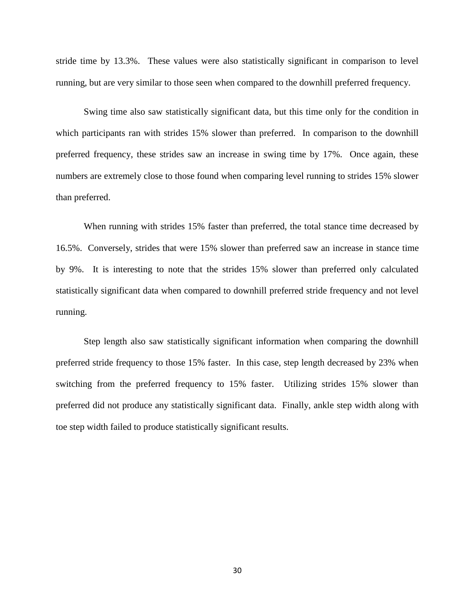stride time by 13.3%. These values were also statistically significant in comparison to level running, but are very similar to those seen when compared to the downhill preferred frequency.

Swing time also saw statistically significant data, but this time only for the condition in which participants ran with strides 15% slower than preferred. In comparison to the downhill preferred frequency, these strides saw an increase in swing time by 17%. Once again, these numbers are extremely close to those found when comparing level running to strides 15% slower than preferred.

When running with strides 15% faster than preferred, the total stance time decreased by 16.5%. Conversely, strides that were 15% slower than preferred saw an increase in stance time by 9%. It is interesting to note that the strides 15% slower than preferred only calculated statistically significant data when compared to downhill preferred stride frequency and not level running.

Step length also saw statistically significant information when comparing the downhill preferred stride frequency to those 15% faster. In this case, step length decreased by 23% when switching from the preferred frequency to 15% faster. Utilizing strides 15% slower than preferred did not produce any statistically significant data. Finally, ankle step width along with toe step width failed to produce statistically significant results.

30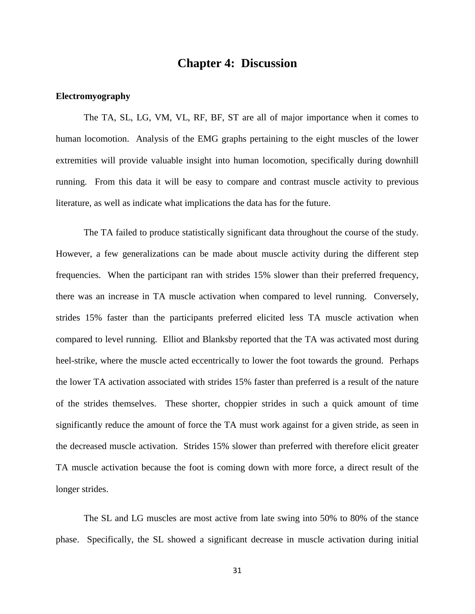# **Chapter 4: Discussion**

#### <span id="page-34-1"></span><span id="page-34-0"></span>**Electromyography**

The TA, SL, LG, VM, VL, RF, BF, ST are all of major importance when it comes to human locomotion. Analysis of the EMG graphs pertaining to the eight muscles of the lower extremities will provide valuable insight into human locomotion, specifically during downhill running. From this data it will be easy to compare and contrast muscle activity to previous literature, as well as indicate what implications the data has for the future.

The TA failed to produce statistically significant data throughout the course of the study. However, a few generalizations can be made about muscle activity during the different step frequencies. When the participant ran with strides 15% slower than their preferred frequency, there was an increase in TA muscle activation when compared to level running. Conversely, strides 15% faster than the participants preferred elicited less TA muscle activation when compared to level running. Elliot and Blanksby reported that the TA was activated most during heel-strike, where the muscle acted eccentrically to lower the foot towards the ground. Perhaps the lower TA activation associated with strides 15% faster than preferred is a result of the nature of the strides themselves. These shorter, choppier strides in such a quick amount of time significantly reduce the amount of force the TA must work against for a given stride, as seen in the decreased muscle activation. Strides 15% slower than preferred with therefore elicit greater TA muscle activation because the foot is coming down with more force, a direct result of the longer strides.

The SL and LG muscles are most active from late swing into 50% to 80% of the stance phase. Specifically, the SL showed a significant decrease in muscle activation during initial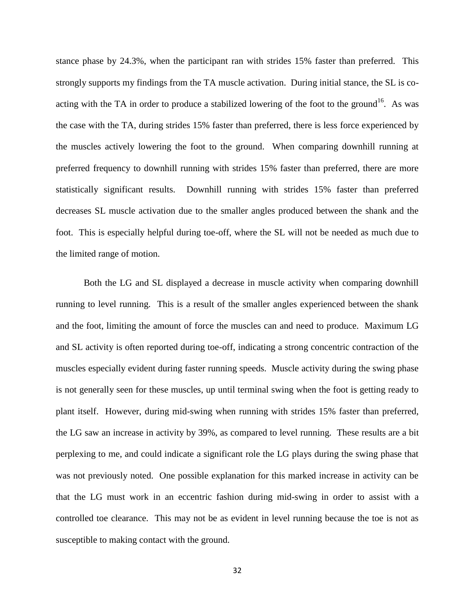stance phase by 24.3%, when the participant ran with strides 15% faster than preferred. This strongly supports my findings from the TA muscle activation. During initial stance, the SL is coacting with the TA in order to produce a stabilized lowering of the foot to the ground<sup>16</sup>. As was the case with the TA, during strides 15% faster than preferred, there is less force experienced by the muscles actively lowering the foot to the ground. When comparing downhill running at preferred frequency to downhill running with strides 15% faster than preferred, there are more statistically significant results. Downhill running with strides 15% faster than preferred decreases SL muscle activation due to the smaller angles produced between the shank and the foot. This is especially helpful during toe-off, where the SL will not be needed as much due to the limited range of motion.

Both the LG and SL displayed a decrease in muscle activity when comparing downhill running to level running. This is a result of the smaller angles experienced between the shank and the foot, limiting the amount of force the muscles can and need to produce. Maximum LG and SL activity is often reported during toe-off, indicating a strong concentric contraction of the muscles especially evident during faster running speeds. Muscle activity during the swing phase is not generally seen for these muscles, up until terminal swing when the foot is getting ready to plant itself. However, during mid-swing when running with strides 15% faster than preferred, the LG saw an increase in activity by 39%, as compared to level running. These results are a bit perplexing to me, and could indicate a significant role the LG plays during the swing phase that was not previously noted. One possible explanation for this marked increase in activity can be that the LG must work in an eccentric fashion during mid-swing in order to assist with a controlled toe clearance. This may not be as evident in level running because the toe is not as susceptible to making contact with the ground.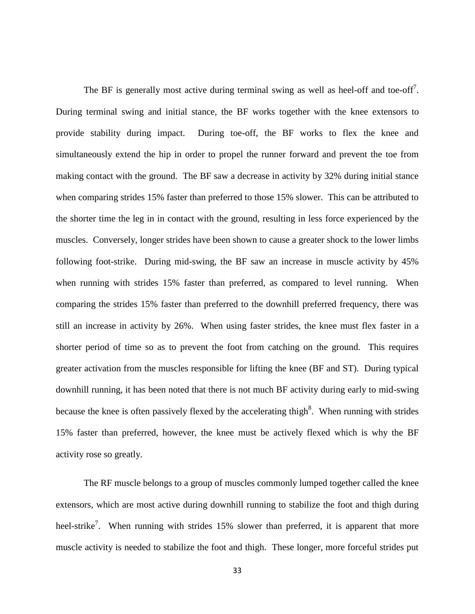The BF is generally most active during terminal swing as well as heel-off and toe-off<sup>7</sup>. During terminal swing and initial stance, the BF works together with the knee extensors to provide stability during impact. During toe-off, the BF works to flex the knee and simultaneously extend the hip in order to propel the runner forward and prevent the toe from making contact with the ground. The BF saw a decrease in activity by 32% during initial stance when comparing strides 15% faster than preferred to those 15% slower. This can be attributed to the shorter time the leg in in contact with the ground, resulting in less force experienced by the muscles. Conversely, longer strides have been shown to cause a greater shock to the lower limbs following foot-strike. During mid-swing, the BF saw an increase in muscle activity by 45% when running with strides 15% faster than preferred, as compared to level running. When comparing the strides 15% faster than preferred to the downhill preferred frequency, there was still an increase in activity by 26%. When using faster strides, the knee must flex faster in a shorter period of time so as to prevent the foot from catching on the ground. This requires greater activation from the muscles responsible for lifting the knee (BF and ST). During typical downhill running, it has been noted that there is not much BF activity during early to mid-swing because the knee is often passively flexed by the accelerating thigh<sup>8</sup>. When running with strides 15% faster than preferred, however, the knee must be actively flexed which is why the BF activity rose so greatly.

The RF muscle belongs to a group of muscles commonly lumped together called the knee extensors, which are most active during downhill running to stabilize the foot and thigh during heel-strike<sup>7</sup>. When running with strides 15% slower than preferred, it is apparent that more muscle activity is needed to stabilize the foot and thigh. These longer, more forceful strides put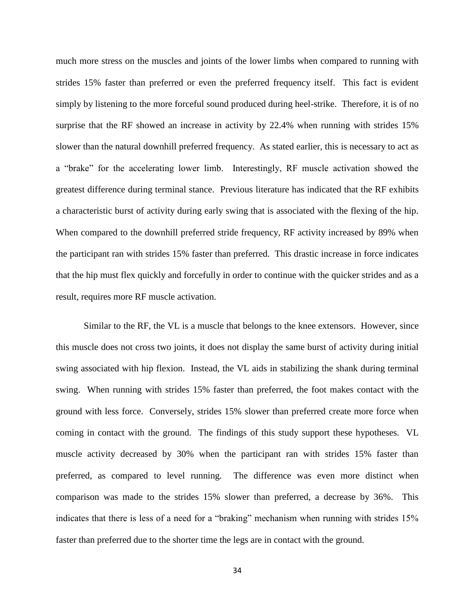much more stress on the muscles and joints of the lower limbs when compared to running with strides 15% faster than preferred or even the preferred frequency itself. This fact is evident simply by listening to the more forceful sound produced during heel-strike. Therefore, it is of no surprise that the RF showed an increase in activity by 22.4% when running with strides 15% slower than the natural downhill preferred frequency. As stated earlier, this is necessary to act as a "brake" for the accelerating lower limb. Interestingly, RF muscle activation showed the greatest difference during terminal stance. Previous literature has indicated that the RF exhibits a characteristic burst of activity during early swing that is associated with the flexing of the hip. When compared to the downhill preferred stride frequency, RF activity increased by 89% when the participant ran with strides 15% faster than preferred. This drastic increase in force indicates that the hip must flex quickly and forcefully in order to continue with the quicker strides and as a result, requires more RF muscle activation.

Similar to the RF, the VL is a muscle that belongs to the knee extensors. However, since this muscle does not cross two joints, it does not display the same burst of activity during initial swing associated with hip flexion. Instead, the VL aids in stabilizing the shank during terminal swing. When running with strides 15% faster than preferred, the foot makes contact with the ground with less force. Conversely, strides 15% slower than preferred create more force when coming in contact with the ground. The findings of this study support these hypotheses. VL muscle activity decreased by 30% when the participant ran with strides 15% faster than preferred, as compared to level running. The difference was even more distinct when comparison was made to the strides 15% slower than preferred, a decrease by 36%. This indicates that there is less of a need for a "braking" mechanism when running with strides 15% faster than preferred due to the shorter time the legs are in contact with the ground.

34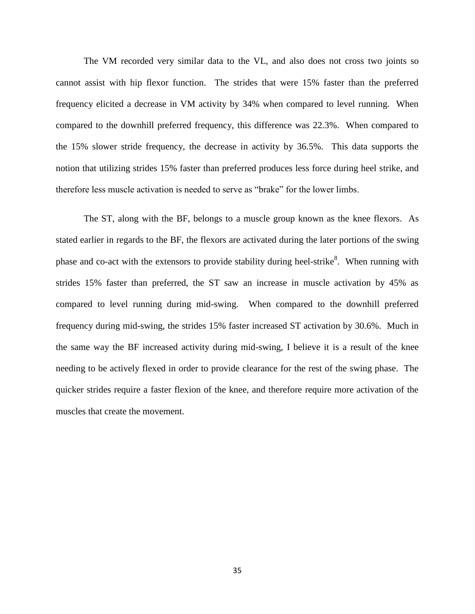The VM recorded very similar data to the VL, and also does not cross two joints so cannot assist with hip flexor function. The strides that were 15% faster than the preferred frequency elicited a decrease in VM activity by 34% when compared to level running. When compared to the downhill preferred frequency, this difference was 22.3%. When compared to the 15% slower stride frequency, the decrease in activity by 36.5%. This data supports the notion that utilizing strides 15% faster than preferred produces less force during heel strike, and therefore less muscle activation is needed to serve as "brake" for the lower limbs.

The ST, along with the BF, belongs to a muscle group known as the knee flexors. As stated earlier in regards to the BF, the flexors are activated during the later portions of the swing phase and co-act with the extensors to provide stability during heel-strike<sup>8</sup>. When running with strides 15% faster than preferred, the ST saw an increase in muscle activation by 45% as compared to level running during mid-swing. When compared to the downhill preferred frequency during mid-swing, the strides 15% faster increased ST activation by 30.6%. Much in the same way the BF increased activity during mid-swing, I believe it is a result of the knee needing to be actively flexed in order to provide clearance for the rest of the swing phase. The quicker strides require a faster flexion of the knee, and therefore require more activation of the muscles that create the movement.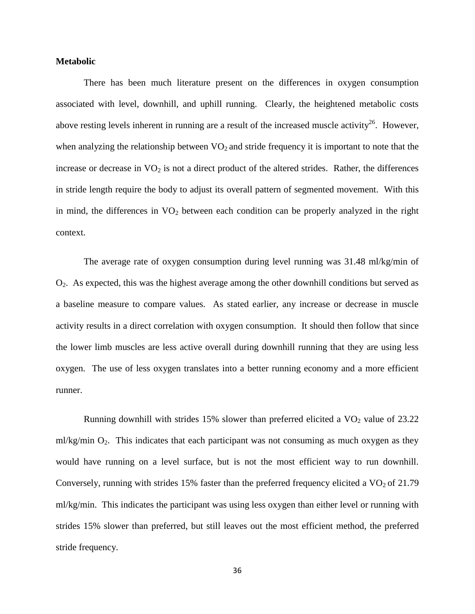## <span id="page-39-0"></span>**Metabolic**

There has been much literature present on the differences in oxygen consumption associated with level, downhill, and uphill running. Clearly, the heightened metabolic costs above resting levels inherent in running are a result of the increased muscle activity<sup>26</sup>. However, when analyzing the relationship between  $VO<sub>2</sub>$  and stride frequency it is important to note that the increase or decrease in  $VO<sub>2</sub>$  is not a direct product of the altered strides. Rather, the differences in stride length require the body to adjust its overall pattern of segmented movement. With this in mind, the differences in  $VO<sub>2</sub>$  between each condition can be properly analyzed in the right context.

The average rate of oxygen consumption during level running was 31.48 ml/kg/min of  $O<sub>2</sub>$ . As expected, this was the highest average among the other downhill conditions but served as a baseline measure to compare values. As stated earlier, any increase or decrease in muscle activity results in a direct correlation with oxygen consumption. It should then follow that since the lower limb muscles are less active overall during downhill running that they are using less oxygen. The use of less oxygen translates into a better running economy and a more efficient runner.

Running downhill with strides 15% slower than preferred elicited a  $VO<sub>2</sub>$  value of 23.22 ml/kg/min  $O_2$ . This indicates that each participant was not consuming as much oxygen as they would have running on a level surface, but is not the most efficient way to run downhill. Conversely, running with strides 15% faster than the preferred frequency elicited a  $VO<sub>2</sub>$  of 21.79 ml/kg/min. This indicates the participant was using less oxygen than either level or running with strides 15% slower than preferred, but still leaves out the most efficient method, the preferred stride frequency.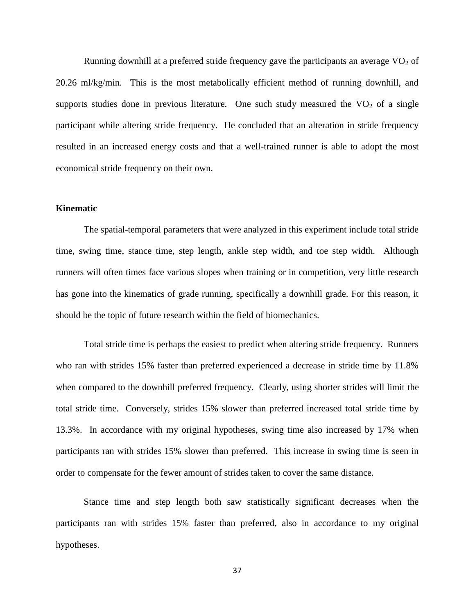Running downhill at a preferred stride frequency gave the participants an average  $VO<sub>2</sub>$  of 20.26 ml/kg/min. This is the most metabolically efficient method of running downhill, and supports studies done in previous literature. One such study measured the  $VO<sub>2</sub>$  of a single participant while altering stride frequency. He concluded that an alteration in stride frequency resulted in an increased energy costs and that a well-trained runner is able to adopt the most economical stride frequency on their own.

## <span id="page-40-0"></span>**Kinematic**

The spatial-temporal parameters that were analyzed in this experiment include total stride time, swing time, stance time, step length, ankle step width, and toe step width. Although runners will often times face various slopes when training or in competition, very little research has gone into the kinematics of grade running, specifically a downhill grade. For this reason, it should be the topic of future research within the field of biomechanics.

Total stride time is perhaps the easiest to predict when altering stride frequency. Runners who ran with strides 15% faster than preferred experienced a decrease in stride time by 11.8% when compared to the downhill preferred frequency. Clearly, using shorter strides will limit the total stride time. Conversely, strides 15% slower than preferred increased total stride time by 13.3%. In accordance with my original hypotheses, swing time also increased by 17% when participants ran with strides 15% slower than preferred. This increase in swing time is seen in order to compensate for the fewer amount of strides taken to cover the same distance.

Stance time and step length both saw statistically significant decreases when the participants ran with strides 15% faster than preferred, also in accordance to my original hypotheses.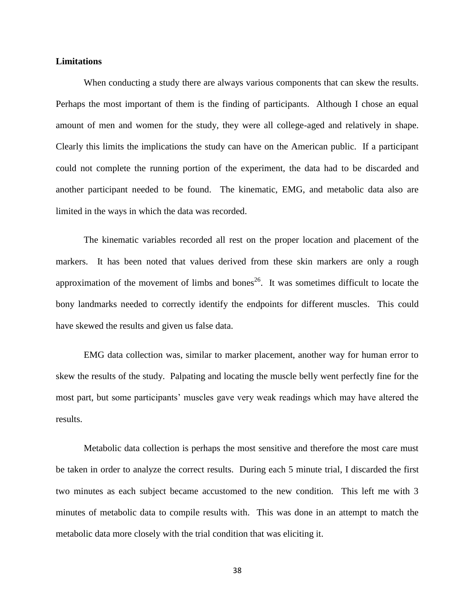## <span id="page-41-0"></span>**Limitations**

When conducting a study there are always various components that can skew the results. Perhaps the most important of them is the finding of participants. Although I chose an equal amount of men and women for the study, they were all college-aged and relatively in shape. Clearly this limits the implications the study can have on the American public. If a participant could not complete the running portion of the experiment, the data had to be discarded and another participant needed to be found. The kinematic, EMG, and metabolic data also are limited in the ways in which the data was recorded.

The kinematic variables recorded all rest on the proper location and placement of the markers. It has been noted that values derived from these skin markers are only a rough approximation of the movement of limbs and bones<sup>26</sup>. It was sometimes difficult to locate the bony landmarks needed to correctly identify the endpoints for different muscles. This could have skewed the results and given us false data.

EMG data collection was, similar to marker placement, another way for human error to skew the results of the study. Palpating and locating the muscle belly went perfectly fine for the most part, but some participants' muscles gave very weak readings which may have altered the results.

Metabolic data collection is perhaps the most sensitive and therefore the most care must be taken in order to analyze the correct results. During each 5 minute trial, I discarded the first two minutes as each subject became accustomed to the new condition. This left me with 3 minutes of metabolic data to compile results with. This was done in an attempt to match the metabolic data more closely with the trial condition that was eliciting it.

38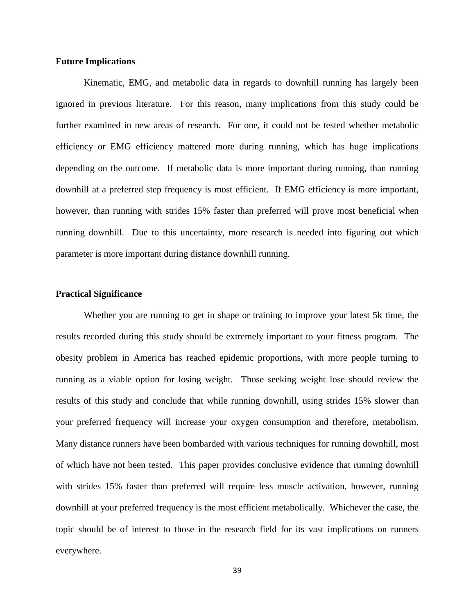## <span id="page-42-0"></span>**Future Implications**

Kinematic, EMG, and metabolic data in regards to downhill running has largely been ignored in previous literature. For this reason, many implications from this study could be further examined in new areas of research. For one, it could not be tested whether metabolic efficiency or EMG efficiency mattered more during running, which has huge implications depending on the outcome. If metabolic data is more important during running, than running downhill at a preferred step frequency is most efficient. If EMG efficiency is more important, however, than running with strides 15% faster than preferred will prove most beneficial when running downhill. Due to this uncertainty, more research is needed into figuring out which parameter is more important during distance downhill running.

## <span id="page-42-1"></span>**Practical Significance**

Whether you are running to get in shape or training to improve your latest 5k time, the results recorded during this study should be extremely important to your fitness program. The obesity problem in America has reached epidemic proportions, with more people turning to running as a viable option for losing weight. Those seeking weight lose should review the results of this study and conclude that while running downhill, using strides 15% slower than your preferred frequency will increase your oxygen consumption and therefore, metabolism. Many distance runners have been bombarded with various techniques for running downhill, most of which have not been tested. This paper provides conclusive evidence that running downhill with strides 15% faster than preferred will require less muscle activation, however, running downhill at your preferred frequency is the most efficient metabolically. Whichever the case, the topic should be of interest to those in the research field for its vast implications on runners everywhere.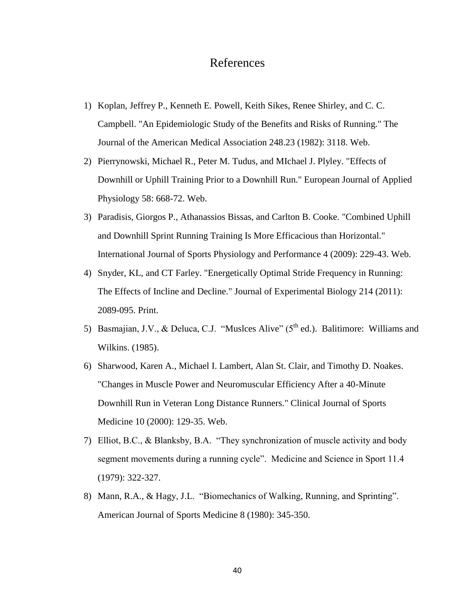# References

- <span id="page-43-0"></span>1) Koplan, Jeffrey P., Kenneth E. Powell, Keith Sikes, Renee Shirley, and C. C. Campbell. "An Epidemiologic Study of the Benefits and Risks of Running." The Journal of the American Medical Association 248.23 (1982): 3118. Web.
- 2) Pierrynowski, Michael R., Peter M. Tudus, and MIchael J. Plyley. "Effects of Downhill or Uphill Training Prior to a Downhill Run." European Journal of Applied Physiology 58: 668-72. Web.
- 3) Paradisis, Giorgos P., Athanassios Bissas, and Carlton B. Cooke. "Combined Uphill and Downhill Sprint Running Training Is More Efficacious than Horizontal." International Journal of Sports Physiology and Performance 4 (2009): 229-43. Web.
- 4) Snyder, KL, and CT Farley. "Energetically Optimal Stride Frequency in Running: The Effects of Incline and Decline." Journal of Experimental Biology 214 (2011): 2089-095. Print.
- 5) Basmajian, J.V., & Deluca, C.J. "Muslces Alive" ( $5<sup>th</sup>$  ed.). Balitimore: Williams and Wilkins. (1985).
- 6) Sharwood, Karen A., Michael I. Lambert, Alan St. Clair, and Timothy D. Noakes. "Changes in Muscle Power and Neuromuscular Efficiency After a 40-Minute Downhill Run in Veteran Long Distance Runners." Clinical Journal of Sports Medicine 10 (2000): 129-35. Web.
- 7) Elliot, B.C., & Blanksby, B.A. "They synchronization of muscle activity and body segment movements during a running cycle". Medicine and Science in Sport 11.4 (1979): 322-327.
- 8) Mann, R.A., & Hagy, J.L. "Biomechanics of Walking, Running, and Sprinting". American Journal of Sports Medicine 8 (1980): 345-350.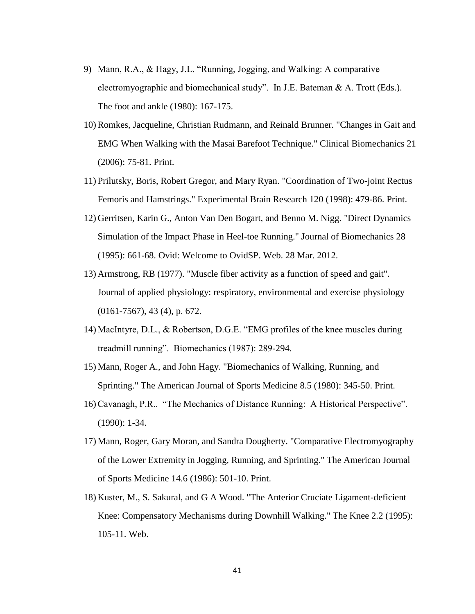- 9) Mann, R.A., & Hagy, J.L. "Running, Jogging, and Walking: A comparative electromyographic and biomechanical study". In J.E. Bateman & A. Trott (Eds.). The foot and ankle (1980): 167-175.
- 10) Romkes, Jacqueline, Christian Rudmann, and Reinald Brunner. "Changes in Gait and EMG When Walking with the Masai Barefoot Technique." Clinical Biomechanics 21 (2006): 75-81. Print.
- 11) Prilutsky, Boris, Robert Gregor, and Mary Ryan. "Coordination of Two-joint Rectus Femoris and Hamstrings." Experimental Brain Research 120 (1998): 479-86. Print.
- 12) Gerritsen, Karin G., Anton Van Den Bogart, and Benno M. Nigg. "Direct Dynamics Simulation of the Impact Phase in Heel-toe Running." Journal of Biomechanics 28 (1995): 661-68. Ovid: Welcome to OvidSP. Web. 28 Mar. 2012.
- 13) Armstrong, RB (1977). "Muscle fiber activity as a function of speed and gait". Journal of applied physiology: respiratory, environmental and exercise physiology (0161-7567), 43 (4), p. 672.
- 14) MacIntyre, D.L., & Robertson, D.G.E. "EMG profiles of the knee muscles during treadmill running". Biomechanics (1987): 289-294.
- 15) Mann, Roger A., and John Hagy. "Biomechanics of Walking, Running, and Sprinting." The American Journal of Sports Medicine 8.5 (1980): 345-50. Print.
- 16) Cavanagh, P.R.. "The Mechanics of Distance Running: A Historical Perspective". (1990): 1-34.
- 17) Mann, Roger, Gary Moran, and Sandra Dougherty. "Comparative Electromyography of the Lower Extremity in Jogging, Running, and Sprinting." The American Journal of Sports Medicine 14.6 (1986): 501-10. Print.
- 18) Kuster, M., S. Sakural, and G A Wood. "The Anterior Cruciate Ligament-deficient Knee: Compensatory Mechanisms during Downhill Walking." The Knee 2.2 (1995): 105-11. Web.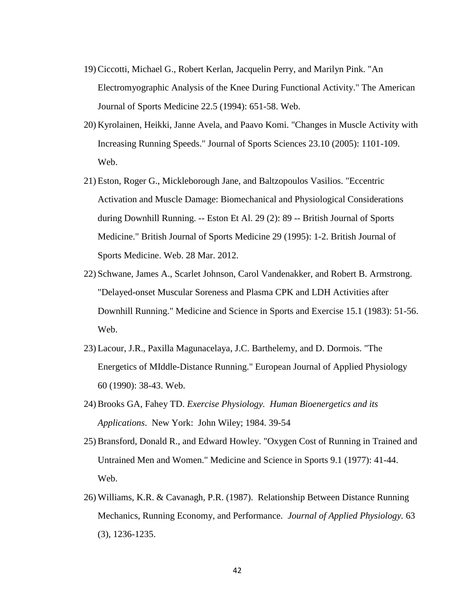- 19) Ciccotti, Michael G., Robert Kerlan, Jacquelin Perry, and Marilyn Pink. "An Electromyographic Analysis of the Knee During Functional Activity." The American Journal of Sports Medicine 22.5 (1994): 651-58. Web.
- 20) Kyrolainen, Heikki, Janne Avela, and Paavo Komi. "Changes in Muscle Activity with Increasing Running Speeds." Journal of Sports Sciences 23.10 (2005): 1101-109. Web.
- 21) Eston, Roger G., Mickleborough Jane, and Baltzopoulos Vasilios. "Eccentric Activation and Muscle Damage: Biomechanical and Physiological Considerations during Downhill Running. -- Eston Et Al. 29 (2): 89 -- British Journal of Sports Medicine." British Journal of Sports Medicine 29 (1995): 1-2. British Journal of Sports Medicine. Web. 28 Mar. 2012.
- 22) Schwane, James A., Scarlet Johnson, Carol Vandenakker, and Robert B. Armstrong. "Delayed-onset Muscular Soreness and Plasma CPK and LDH Activities after Downhill Running." Medicine and Science in Sports and Exercise 15.1 (1983): 51-56. Web.
- 23) Lacour, J.R., Paxilla Magunacelaya, J.C. Barthelemy, and D. Dormois. "The Energetics of MIddle-Distance Running." European Journal of Applied Physiology 60 (1990): 38-43. Web.
- 24) Brooks GA, Fahey TD. *Exercise Physiology. Human Bioenergetics and its Applications*. New York: John Wiley; 1984. 39-54
- 25) Bransford, Donald R., and Edward Howley. "Oxygen Cost of Running in Trained and Untrained Men and Women." Medicine and Science in Sports 9.1 (1977): 41-44. Web.
- 26) Williams, K.R. & Cavanagh, P.R. (1987). Relationship Between Distance Running Mechanics, Running Economy, and Performance. *Journal of Applied Physiology.* 63 (3), 1236-1235.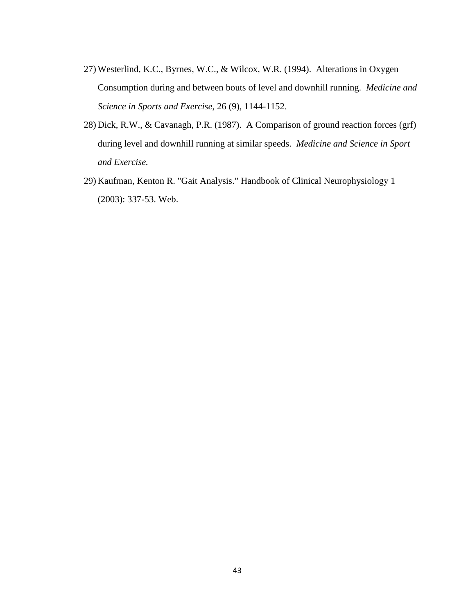- 27) Westerlind, K.C., Byrnes, W.C., & Wilcox, W.R. (1994). Alterations in Oxygen Consumption during and between bouts of level and downhill running. *Medicine and Science in Sports and Exercise*, 26 (9), 1144-1152.
- 28) Dick, R.W., & Cavanagh, P.R. (1987). A Comparison of ground reaction forces (grf) during level and downhill running at similar speeds. *Medicine and Science in Sport and Exercise.*
- 29) Kaufman, Kenton R. "Gait Analysis." Handbook of Clinical Neurophysiology 1 (2003): 337-53. Web.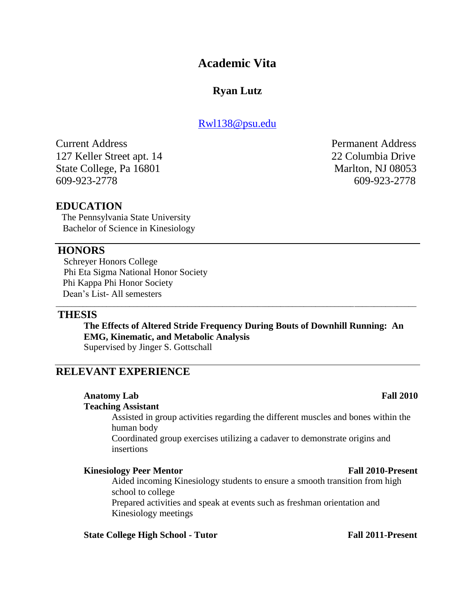# **Academic Vita**

# **Ryan Lutz**

## [Rwl138@psu.edu](mailto:Rwl138@psu.edu)

Current Address Permanent Address 127 Keller Street apt. 14 22 Columbia Drive State College, Pa 16801 Marlton, NJ 08053 609-923-2778 609-923-2778

## **EDUCATION**

 The Pennsylvania State University Bachelor of Science in Kinesiology

## **HONORS**

 Schreyer Honors College Phi Eta Sigma National Honor Society Phi Kappa Phi Honor Society Dean's List- All semesters

## **THESIS**

**The Effects of Altered Stride Frequency During Bouts of Downhill Running: An EMG, Kinematic, and Metabolic Analysis** Supervised by Jinger S. Gottschall

\_\_\_\_\_\_\_\_\_\_\_\_\_\_\_\_\_\_\_\_\_\_\_\_\_\_\_\_\_\_\_\_\_\_\_\_\_\_\_\_\_\_\_\_\_\_\_\_\_\_\_\_\_\_\_\_\_\_\_\_\_\_\_\_\_\_\_\_\_\_\_\_\_\_\_\_\_\_\_\_\_\_\_\_\_\_\_\_\_\_\_\_\_

## **RELEVANT EXPERIENCE**

# **Anatomy Lab Fall 2010**

**Teaching Assistant**

Assisted in group activities regarding the different muscles and bones within the human body

Coordinated group exercises utilizing a cadaver to demonstrate origins and insertions

## **Kinesiology Peer Mentor Fall 2010-Present**

Aided incoming Kinesiology students to ensure a smooth transition from high school to college

Prepared activities and speak at events such as freshman orientation and Kinesiology meetings

## **State College High School - Tutor Fall 2011-Present**